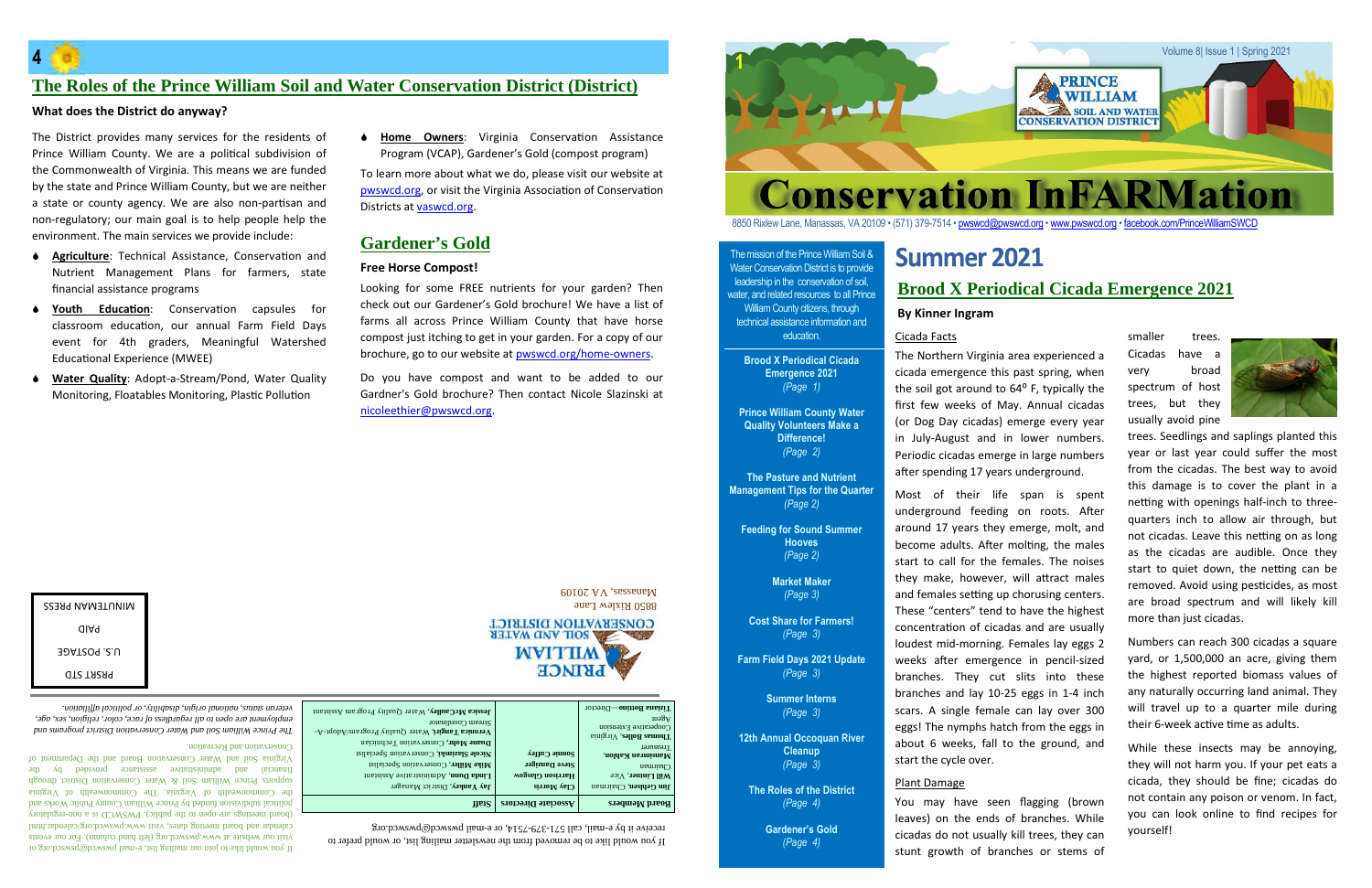#### The mission of the Prince William Soil & Water Conservation District is to provide leadership in the conservation of soil, water, and related resources to all Prince William County citizens, through technical assistance information and education.

**Brood X Periodical Cicada Emergence 2021** *(Page 1)*

**Prince William County Water Quality Volunteers Make a Difference!** *(Page 2)*

**The Pasture and Nutrient Management Tips for the Quarter** *(Page 2)*

**Feeding for Sound Summer Hooves** *(Page 2)*

> **Market Maker** *(Page 3)*

**Cost Share for Farmers!** *(Page 3)*

**Farm Field Days 2021 Update** *(Page 3)*

> **Summer Interns** *(Page 3)*

**12th Annual Occoquan River Cleanup** *(Page 3)*

**The Roles of the District** *(Page 4)*

> **Gardener's Gold** *(Page 4)*

**1**





8850 Rixlew Lane, Manassas, VA 20109 • (571) 379-7514 • pwswcd@pwswcd.org • www.pwswcd.org • facebook.com/PrinceWilliamSWCD

mail provided by a would like to join our mailing list, e-mail pwswscd.org or solution of  $\mathbb{R}$ visit our website at www.pwswcd.org (left hand column). For our events calendar and board meeting dates, visit www.pwswcd.org/calendar.html regulatory - (board meetings are open to the public). PWSWCD is <sup>a</sup> non political subdivision funded by Prince William County Public Works and he Commonwealth of Virginia. The Commonwealth of Virginia supports Prince William Soil & Water Conservation District through financial and administrative assistance provided by the Virginia Soil and Water Conservation Board and the Department of

| receive it by e-mail, call 571-379-7514, or e-mail pwswcd@pwswcd.org                 |
|--------------------------------------------------------------------------------------|
| If you would like to be removed from the newsletter mailing list, or would prefer to |

The Northern Virginia area experienced a cicada emergence this past spring, when the soil got around to  $64^{\circ}$  F, typically the first few weeks of May. Annual cicadas (or Dog Day cicadas) emerge every year in July-August and in lower numbers. Periodic cicadas emerge in large numbers after spending 17 years underground.

| veteran status, national origin, disdility, or political affiliation.<br>employment are open to all regardless of race, color, religion, sex, age,<br>The Prince William Soil and Water Conservation District programs and<br>Conservation and Recreation. | Jessica McCaulley, Water Quality Program Assistant<br>Stream Coordinator<br>Veronica Tangiri, Water Quality Program/Adopt-A-<br>Duane Mohr, Conservation Technician |                                     | Tizana Bottino-Director<br>103A<br>Cooperative Extension<br>sinig nV , esllod samodT<br>Teasurer |
|------------------------------------------------------------------------------------------------------------------------------------------------------------------------------------------------------------------------------------------------------------|---------------------------------------------------------------------------------------------------------------------------------------------------------------------|-------------------------------------|--------------------------------------------------------------------------------------------------|
| Virginia Soil and Water Conservation Board and the Department o                                                                                                                                                                                            | Nicole Slazinski, Conservation Specialist                                                                                                                           | $\delta$ ayn $\Omega$ ənya $\delta$ | Mansimran Kahlon,                                                                                |
| pəpivoid<br>assistance<br>чі Ла<br>administrative<br>pue<br>financial                                                                                                                                                                                      | <b>Mike Miller</b> , Conservation Specialist                                                                                                                        | Steve Daniger                       | Chairman                                                                                         |
|                                                                                                                                                                                                                                                            | <b>Linda Dunn, Administrative Assistant</b>                                                                                                                         | Harrison Glasgow                    | Will Lintner, Vice                                                                               |
| supports the paint of $\alpha$ is $\alpha$ is $\alpha$ is $\alpha$ is $\alpha$ is the servation District through                                                                                                                                           | Jay Yankey, District Manager                                                                                                                                        | <b>Clay Morris</b>                  | <b>Jim Gehlsen, Chairman</b>                                                                     |
| the Commonwealth of Virginia. The Commonwealth of Virgini                                                                                                                                                                                                  |                                                                                                                                                                     |                                     |                                                                                                  |
| political subdivision funded by Prince William County Public Works and                                                                                                                                                                                     | nan                                                                                                                                                                 | Associate Directors                 | <b>Board Members</b>                                                                             |

smaller trees. Cicadas have a very broad spectrum of host trees, but they usually avoid pine



| KIINN I FINYN HKF22 |  |
|---------------------|--|
| uiay                |  |
| 10ALYUY 16.U        |  |
| <b>QTS TAZA9</b>    |  |

Numbers can reach 300 cicadas a square yard, or 1,500,000 an acre, giving them the highest reported biomass values of any naturally occurring land animal. They will travel up to a quarter mile during their 6-week active time as adults.

# **Summer 2021 Brood X Periodical Cicada Emergence 2021**

#### Cicada Facts

 $\bullet$  **Home Owners**: Virginia Conservation Assistance Program (VCAP), Gardener's Gold (compost program)

> Most of their life span is spent underground feeding on roots. After around 17 years they emerge, molt, and become adults. After molting, the males start to call for the females. The noises they make, however, will attract males and females setting up chorusing centers. These "centers" tend to have the highest concentration of cicadas and are usually loudest mid-morning. Females lay eggs 2 weeks after emergence in pencil-sized branches. They cut slits into these branches and lay 10-25 eggs in 1-4 inch scars. A single female can lay over 300 eggs! The nymphs hatch from the eggs in about 6 weeks, fall to the ground, and start the cycle over.

#### Plant Damage

You may have seen flagging (brown leaves) on the ends of branches. While cicadas do not usually kill trees, they can stunt growth of branches or stems of trees. Seedlings and saplings planted this year or last year could suffer the most from the cicadas. The best way to avoid this damage is to cover the plant in a netting with openings half-inch to threequarters inch to allow air through, but not cicadas. Leave this netting on as long as the cicadas are audible. Once they start to quiet down, the netting can be removed. Avoid using pesticides, as most are broad spectrum and will likely kill more than just cicadas.

While these insects may be annoying, they will not harm you. If your pet eats a cicada, they should be fine; cicadas do not contain any poison or venom. In fact, you can look online to find recipes for yourself!

**By Kinner Ingram**

The District provides many services for the residents of Prince William County. We are a political subdivision of the Commonwealth of Virginia. This means we are funded by the state and Prince William County, but we are neither a state or county agency. We are also non-partisan and non-regulatory; our main goal is to help people help the environment. The main services we provide include:

- **Agriculture:** Technical Assistance, Conservation and Nutrient Management Plans for farmers, state financial assistance programs
- **Youth Education**: Conservation capsules for classroom education, our annual Farm Field Days event for 4th graders, Meaningful Watershed Educational Experience (MWEE)
- **Water Quality**: Adopt-a-Stream/Pond, Water Quality Monitoring, Floatables Monitoring, Plastic Pollution

### **The Roles of the Prince William Soil and Water Conservation District (District)**

#### **What does the District do anyway?**

Looking for some FREE nutrients for your garden? Then check out our Gardener's Gold brochure! We have a list of farms all across Prince William County that have horse compost just itching to get in your garden. For a copy of our brochure, go to our website at pwswcd.org/home-owners.

Do you have compost and want to be added to our Gardner's Gold brochure? Then contact Nicole Slazinski at nicoleethier@pwswcd.org.

> 8850 Rixlew Lane  $60102$  AV assessmall



### **Gardener's Gold**

#### **Free Horse Compost!**

To learn more about what we do, please visit our website at pwswcd.org, or visit the Virginia Association of Conservation Districts at vaswcd.org.